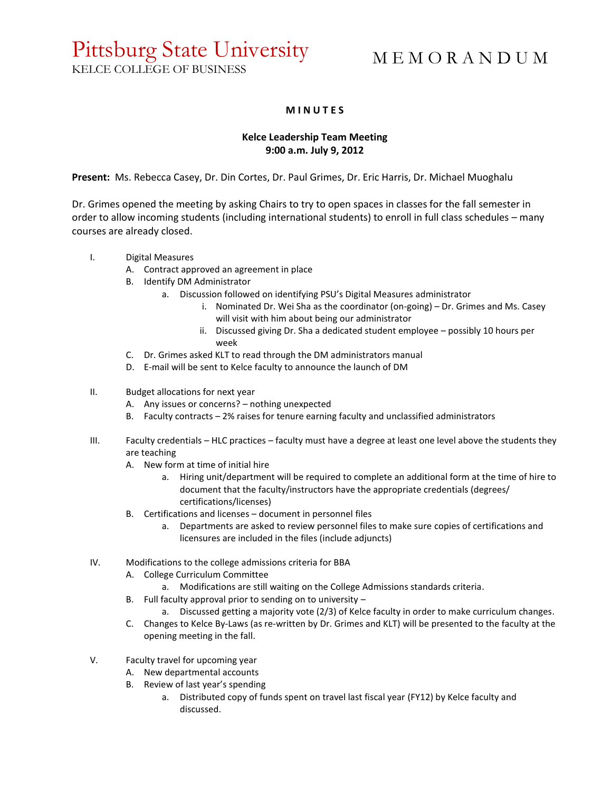## Pittsburg State University

KELCE COLLEGE OF BUSINESS

## M E M O R A N D U M

## **M I N U T E S**

## **Kelce Leadership Team Meeting 9:00 a.m. July 9, 2012**

**Present:** Ms. Rebecca Casey, Dr. Din Cortes, Dr. Paul Grimes, Dr. Eric Harris, Dr. Michael Muoghalu

Dr. Grimes opened the meeting by asking Chairs to try to open spaces in classes for the fall semester in order to allow incoming students (including international students) to enroll in full class schedules – many courses are already closed.

- I. Digital Measures
	- A. Contract approved an agreement in place
	- B. Identify DM Administrator
		- a. Discussion followed on identifying PSU's Digital Measures administrator
			- i. Nominated Dr. Wei Sha as the coordinator (on-going) Dr. Grimes and Ms. Casey will visit with him about being our administrator
			- ii. Discussed giving Dr. Sha a dedicated student employee possibly 10 hours per week
		- C. Dr. Grimes asked KLT to read through the DM administrators manual
		- D. E-mail will be sent to Kelce faculty to announce the launch of DM
- II. Budget allocations for next year
	- A. Any issues or concerns? nothing unexpected
	- B. Faculty contracts 2% raises for tenure earning faculty and unclassified administrators
- III. Faculty credentials HLC practices faculty must have a degree at least one level above the students they are teaching
	- A. New form at time of initial hire
		- a. Hiring unit/department will be required to complete an additional form at the time of hire to document that the faculty/instructors have the appropriate credentials (degrees/ certifications/licenses)
	- B. Certifications and licenses document in personnel files
		- a. Departments are asked to review personnel files to make sure copies of certifications and licensures are included in the files (include adjuncts)
- IV. Modifications to the college admissions criteria for BBA
	- A. College Curriculum Committee
		- a. Modifications are still waiting on the College Admissions standards criteria.
	- B. Full faculty approval prior to sending on to university
		- a. Discussed getting a majority vote (2/3) of Kelce faculty in order to make curriculum changes.
	- C. Changes to Kelce By-Laws (as re-written by Dr. Grimes and KLT) will be presented to the faculty at the opening meeting in the fall.
- V. Faculty travel for upcoming year
	- A. New departmental accounts
	- B. Review of last year's spending
		- a. Distributed copy of funds spent on travel last fiscal year (FY12) by Kelce faculty and discussed.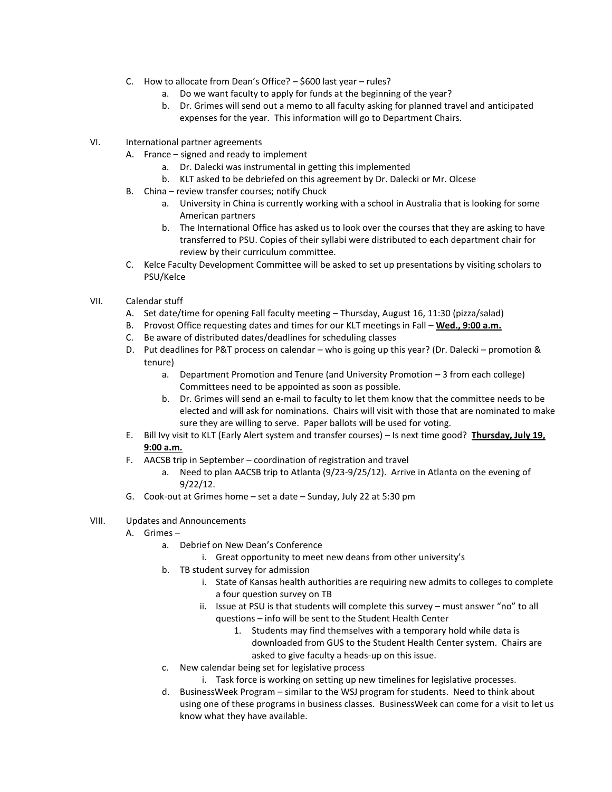- C. How to allocate from Dean's Office? \$600 last year rules?
	- a. Do we want faculty to apply for funds at the beginning of the year?
	- b. Dr. Grimes will send out a memo to all faculty asking for planned travel and anticipated expenses for the year. This information will go to Department Chairs.
- VI. International partner agreements
	- A. France signed and ready to implement
		- a. Dr. Dalecki was instrumental in getting this implemented
		- b. KLT asked to be debriefed on this agreement by Dr. Dalecki or Mr. Olcese
	- B. China review transfer courses; notify Chuck
		- a. University in China is currently working with a school in Australia that is looking for some American partners
		- b. The International Office has asked us to look over the courses that they are asking to have transferred to PSU. Copies of their syllabi were distributed to each department chair for review by their curriculum committee.
	- C. Kelce Faculty Development Committee will be asked to set up presentations by visiting scholars to PSU/Kelce
- VII. Calendar stuff
	- A. Set date/time for opening Fall faculty meeting Thursday, August 16, 11:30 (pizza/salad)
	- B. Provost Office requesting dates and times for our KLT meetings in Fall **Wed., 9:00 a.m.**
	- C. Be aware of distributed dates/deadlines for scheduling classes
	- D. Put deadlines for P&T process on calendar who is going up this year? (Dr. Dalecki promotion & tenure)
		- a. Department Promotion and Tenure (and University Promotion 3 from each college) Committees need to be appointed as soon as possible.
		- b. Dr. Grimes will send an e-mail to faculty to let them know that the committee needs to be elected and will ask for nominations. Chairs will visit with those that are nominated to make sure they are willing to serve. Paper ballots will be used for voting.
	- E. Bill Ivy visit to KLT (Early Alert system and transfer courses) Is next time good? **Thursday, July 19, 9:00 a.m.**
	- F. AACSB trip in September coordination of registration and travel
		- a. Need to plan AACSB trip to Atlanta (9/23-9/25/12). Arrive in Atlanta on the evening of 9/22/12.
	- G. Cook-out at Grimes home set a date Sunday, July 22 at 5:30 pm
- VIII. Updates and Announcements
	- A. Grimes
		- a. Debrief on New Dean's Conference
			- i. Great opportunity to meet new deans from other university's
		- b. TB student survey for admission
			- i. State of Kansas health authorities are requiring new admits to colleges to complete a four question survey on TB
			- ii. Issue at PSU is that students will complete this survey must answer "no" to all questions – info will be sent to the Student Health Center
				- 1. Students may find themselves with a temporary hold while data is downloaded from GUS to the Student Health Center system. Chairs are asked to give faculty a heads-up on this issue.
		- c. New calendar being set for legislative process
			- i. Task force is working on setting up new timelines for legislative processes.
		- d. BusinessWeek Program similar to the WSJ program for students. Need to think about using one of these programs in business classes. BusinessWeek can come for a visit to let us know what they have available.